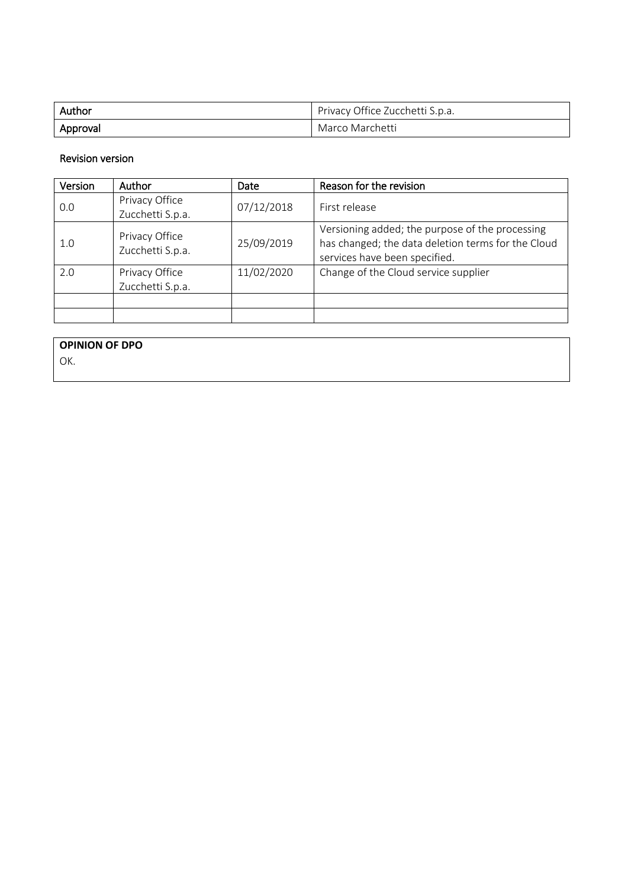| Author   | Privacy Office Zucchetti S.p.a. |
|----------|---------------------------------|
| Approval | Marco Marchetti                 |

### Revision version

| Version | Author                             | Date       | Reason for the revision                                                                                                                |
|---------|------------------------------------|------------|----------------------------------------------------------------------------------------------------------------------------------------|
| 0.0     | Privacy Office<br>Zucchetti S.p.a. | 07/12/2018 | First release                                                                                                                          |
| 1.0     | Privacy Office<br>Zucchetti S.p.a. | 25/09/2019 | Versioning added; the purpose of the processing<br>has changed; the data deletion terms for the Cloud<br>services have been specified. |
| 2.0     | Privacy Office<br>Zucchetti S.p.a. | 11/02/2020 | Change of the Cloud service supplier                                                                                                   |
|         |                                    |            |                                                                                                                                        |
|         |                                    |            |                                                                                                                                        |

**OPINION OF DPO**

OK.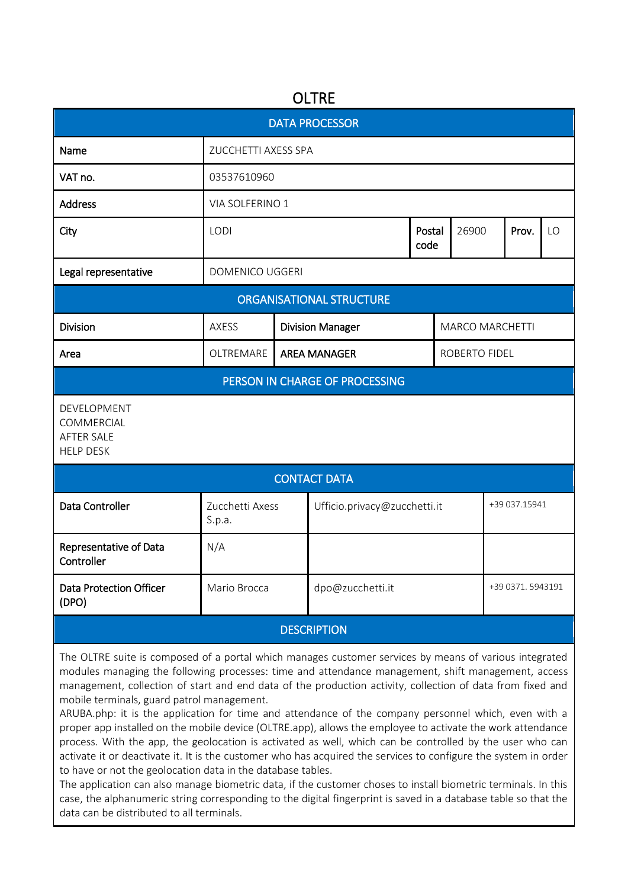# **OLTRE**

| <b>DATA PROCESSOR</b>                                              |                           |  |                              |                         |                        |               |                  |    |  |  |  |
|--------------------------------------------------------------------|---------------------------|--|------------------------------|-------------------------|------------------------|---------------|------------------|----|--|--|--|
| Name                                                               | ZUCCHETTI AXESS SPA       |  |                              |                         |                        |               |                  |    |  |  |  |
| VAT no.                                                            | 03537610960               |  |                              |                         |                        |               |                  |    |  |  |  |
| <b>Address</b>                                                     | VIA SOLFERINO 1           |  |                              |                         |                        |               |                  |    |  |  |  |
| City                                                               | LODI                      |  |                              | Postal<br>26900<br>code |                        |               | Prov.            | LO |  |  |  |
| Legal representative                                               | <b>DOMENICO UGGERI</b>    |  |                              |                         |                        |               |                  |    |  |  |  |
| <b>ORGANISATIONAL STRUCTURE</b>                                    |                           |  |                              |                         |                        |               |                  |    |  |  |  |
| <b>Division</b>                                                    | AXESS                     |  | <b>Division Manager</b>      |                         | <b>MARCO MARCHETTI</b> |               |                  |    |  |  |  |
| Area                                                               | OLTREMARE                 |  | <b>AREA MANAGER</b>          |                         | ROBERTO FIDEL          |               |                  |    |  |  |  |
| PERSON IN CHARGE OF PROCESSING                                     |                           |  |                              |                         |                        |               |                  |    |  |  |  |
| DEVELOPMENT<br>COMMERCIAL<br><b>AFTER SALE</b><br><b>HELP DESK</b> |                           |  |                              |                         |                        |               |                  |    |  |  |  |
| <b>CONTACT DATA</b>                                                |                           |  |                              |                         |                        |               |                  |    |  |  |  |
| Data Controller                                                    | Zucchetti Axess<br>S.p.a. |  | Ufficio.privacy@zucchetti.it |                         |                        | +39 037.15941 |                  |    |  |  |  |
| Representative of Data<br>Controller                               | N/A                       |  |                              |                         |                        |               |                  |    |  |  |  |
| <b>Data Protection Officer</b><br>(DPO)                            | Mario Brocca              |  | dpo@zucchetti.it             |                         |                        |               | +39 0371.5943191 |    |  |  |  |
| <b>DESCRIPTION</b>                                                 |                           |  |                              |                         |                        |               |                  |    |  |  |  |

The OLTRE suite is composed of a portal which manages customer services by means of various integrated modules managing the following processes: time and attendance management, shift management, access management, collection of start and end data of the production activity, collection of data from fixed and mobile terminals, guard patrol management.

ARUBA.php: it is the application for time and attendance of the company personnel which, even with a proper app installed on the mobile device (OLTRE.app), allows the employee to activate the work attendance process. With the app, the geolocation is activated as well, which can be controlled by the user who can activate it or deactivate it. It is the customer who has acquired the services to configure the system in order to have or not the geolocation data in the database tables.

The application can also manage biometric data, if the customer choses to install biometric terminals. In this case, the alphanumeric string corresponding to the digital fingerprint is saved in a database table so that the data can be distributed to all terminals.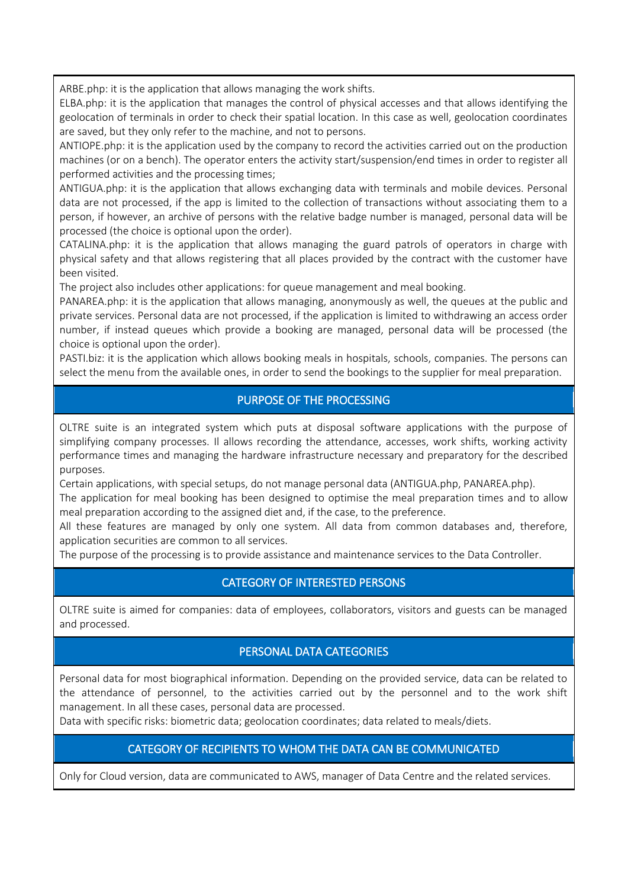ARBE.php: it is the application that allows managing the work shifts.

ELBA.php: it is the application that manages the control of physical accesses and that allows identifying the geolocation of terminals in order to check their spatial location. In this case as well, geolocation coordinates are saved, but they only refer to the machine, and not to persons.

ANTIOPE.php: it is the application used by the company to record the activities carried out on the production machines (or on a bench). The operator enters the activity start/suspension/end times in order to register all performed activities and the processing times;

ANTIGUA.php: it is the application that allows exchanging data with terminals and mobile devices. Personal data are not processed, if the app is limited to the collection of transactions without associating them to a person, if however, an archive of persons with the relative badge number is managed, personal data will be processed (the choice is optional upon the order).

CATALINA.php: it is the application that allows managing the guard patrols of operators in charge with physical safety and that allows registering that all places provided by the contract with the customer have been visited.

The project also includes other applications: for queue management and meal booking.

PANAREA.php: it is the application that allows managing, anonymously as well, the queues at the public and private services. Personal data are not processed, if the application is limited to withdrawing an access order number, if instead queues which provide a booking are managed, personal data will be processed (the choice is optional upon the order).

PASTI.biz: it is the application which allows booking meals in hospitals, schools, companies. The persons can select the menu from the available ones, in order to send the bookings to the supplier for meal preparation.

## PURPOSE OF THE PROCESSING

OLTRE suite is an integrated system which puts at disposal software applications with the purpose of simplifying company processes. Il allows recording the attendance, accesses, work shifts, working activity performance times and managing the hardware infrastructure necessary and preparatory for the described purposes.

Certain applications, with special setups, do not manage personal data (ANTIGUA.php, PANAREA.php).

The application for meal booking has been designed to optimise the meal preparation times and to allow meal preparation according to the assigned diet and, if the case, to the preference.

All these features are managed by only one system. All data from common databases and, therefore, application securities are common to all services.

The purpose of the processing is to provide assistance and maintenance services to the Data Controller.

## CATEGORY OF INTERESTED PERSONS

OLTRE suite is aimed for companies: data of employees, collaborators, visitors and guests can be managed and processed.

## PERSONAL DATA CATEGORIES

Personal data for most biographical information. Depending on the provided service, data can be related to the attendance of personnel, to the activities carried out by the personnel and to the work shift management. In all these cases, personal data are processed.

Data with specific risks: biometric data; geolocation coordinates; data related to meals/diets.

## CATEGORY OF RECIPIENTS TO WHOM THE DATA CAN BE COMMUNICATED

Only for Cloud version, data are communicated to AWS, manager of Data Centre and the related services.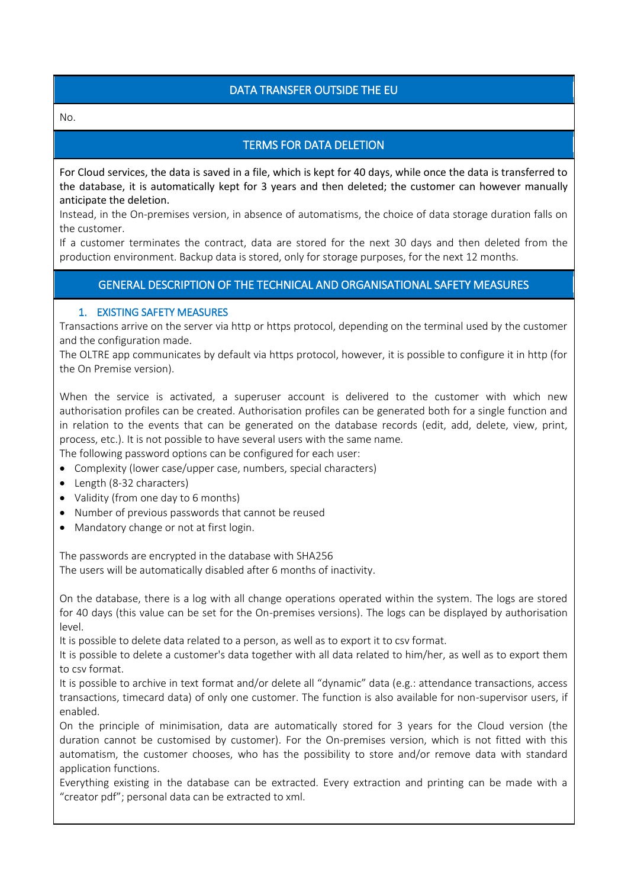## DATA TRANSFER OUTSIDE THE EU

No.

## TERMS FOR DATA DELETION

For Cloud services, the data is saved in a file, which is kept for 40 days, while once the data is transferred to the database, it is automatically kept for 3 years and then deleted; the customer can however manually anticipate the deletion.

Instead, in the On-premises version, in absence of automatisms, the choice of data storage duration falls on the customer.

If a customer terminates the contract, data are stored for the next 30 days and then deleted from the production environment. Backup data is stored, only for storage purposes, for the next 12 months.

### GENERAL DESCRIPTION OF THE TECHNICAL AND ORGANISATIONAL SAFETY MEASURES

#### 1. EXISTING SAFETY MEASURES

Transactions arrive on the server via http or https protocol, depending on the terminal used by the customer and the configuration made.

The OLTRE app communicates by default via https protocol, however, it is possible to configure it in http (for the On Premise version).

When the service is activated, a superuser account is delivered to the customer with which new authorisation profiles can be created. Authorisation profiles can be generated both for a single function and in relation to the events that can be generated on the database records (edit, add, delete, view, print, process, etc.). It is not possible to have several users with the same name.

The following password options can be configured for each user:

- Complexity (lower case/upper case, numbers, special characters)
- Length (8-32 characters)
- Validity (from one day to 6 months)
- Number of previous passwords that cannot be reused
- Mandatory change or not at first login.

The passwords are encrypted in the database with SHA256 The users will be automatically disabled after 6 months of inactivity.

On the database, there is a log with all change operations operated within the system. The logs are stored for 40 days (this value can be set for the On-premises versions). The logs can be displayed by authorisation level.

It is possible to delete data related to a person, as well as to export it to csv format.

It is possible to delete a customer's data together with all data related to him/her, as well as to export them to csv format.

It is possible to archive in text format and/or delete all "dynamic" data (e.g.: attendance transactions, access transactions, timecard data) of only one customer. The function is also available for non-supervisor users, if enabled.

On the principle of minimisation, data are automatically stored for 3 years for the Cloud version (the duration cannot be customised by customer). For the On-premises version, which is not fitted with this automatism, the customer chooses, who has the possibility to store and/or remove data with standard application functions.

Everything existing in the database can be extracted. Every extraction and printing can be made with a "creator pdf"; personal data can be extracted to xml.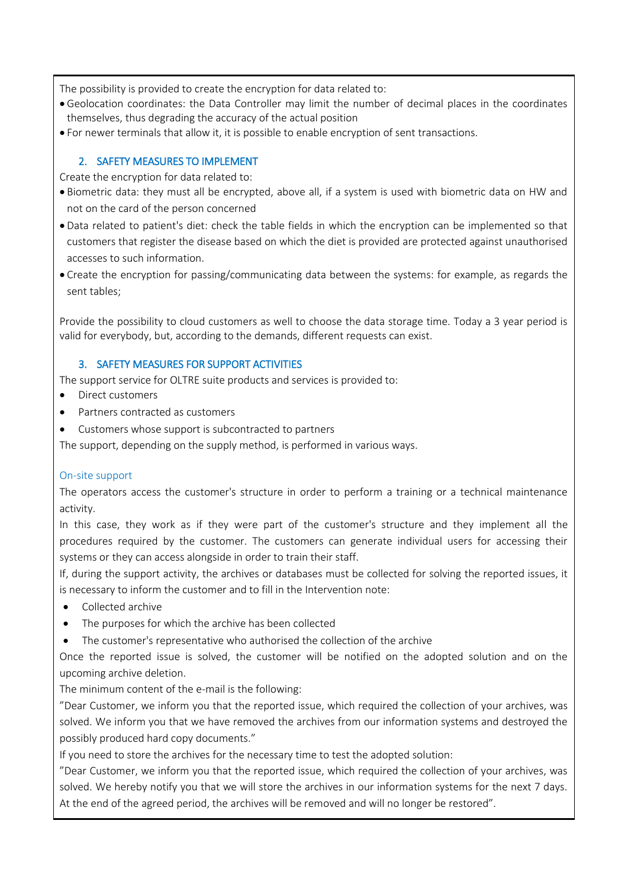The possibility is provided to create the encryption for data related to:

- Geolocation coordinates: the Data Controller may limit the number of decimal places in the coordinates themselves, thus degrading the accuracy of the actual position
- For newer terminals that allow it, it is possible to enable encryption of sent transactions.

### 2. SAFETY MEASURES TO IMPLEMENT

Create the encryption for data related to:

- Biometric data: they must all be encrypted, above all, if a system is used with biometric data on HW and not on the card of the person concerned
- Data related to patient's diet: check the table fields in which the encryption can be implemented so that customers that register the disease based on which the diet is provided are protected against unauthorised accesses to such information.
- Create the encryption for passing/communicating data between the systems: for example, as regards the sent tables;

Provide the possibility to cloud customers as well to choose the data storage time. Today a 3 year period is valid for everybody, but, according to the demands, different requests can exist.

### 3. SAFETY MEASURES FOR SUPPORT ACTIVITIES

The support service for OLTRE suite products and services is provided to:

- Direct customers
- Partners contracted as customers
- Customers whose support is subcontracted to partners

The support, depending on the supply method, is performed in various ways.

### On-site support

The operators access the customer's structure in order to perform a training or a technical maintenance activity.

In this case, they work as if they were part of the customer's structure and they implement all the procedures required by the customer. The customers can generate individual users for accessing their systems or they can access alongside in order to train their staff.

If, during the support activity, the archives or databases must be collected for solving the reported issues, it is necessary to inform the customer and to fill in the Intervention note:

- Collected archive
- The purposes for which the archive has been collected
- The customer's representative who authorised the collection of the archive

Once the reported issue is solved, the customer will be notified on the adopted solution and on the upcoming archive deletion.

The minimum content of the e-mail is the following:

"Dear Customer, we inform you that the reported issue, which required the collection of your archives, was solved. We inform you that we have removed the archives from our information systems and destroyed the possibly produced hard copy documents."

If you need to store the archives for the necessary time to test the adopted solution:

"Dear Customer, we inform you that the reported issue, which required the collection of your archives, was solved. We hereby notify you that we will store the archives in our information systems for the next 7 days. At the end of the agreed period, the archives will be removed and will no longer be restored".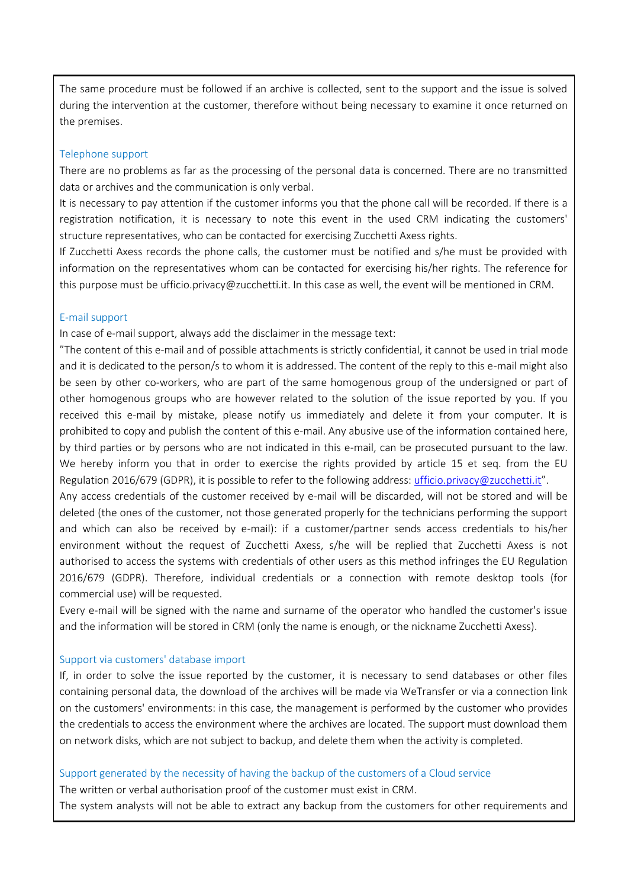The same procedure must be followed if an archive is collected, sent to the support and the issue is solved during the intervention at the customer, therefore without being necessary to examine it once returned on the premises.

#### Telephone support

There are no problems as far as the processing of the personal data is concerned. There are no transmitted data or archives and the communication is only verbal.

It is necessary to pay attention if the customer informs you that the phone call will be recorded. If there is a registration notification, it is necessary to note this event in the used CRM indicating the customers' structure representatives, who can be contacted for exercising Zucchetti Axess rights.

If Zucchetti Axess records the phone calls, the customer must be notified and s/he must be provided with information on the representatives whom can be contacted for exercising his/her rights. The reference for this purpose must be ufficio.privacy@zucchetti.it. In this case as well, the event will be mentioned in CRM.

#### E-mail support

In case of e-mail support, always add the disclaimer in the message text:

"The content of this e-mail and of possible attachments is strictly confidential, it cannot be used in trial mode and it is dedicated to the person/s to whom it is addressed. The content of the reply to this e-mail might also be seen by other co-workers, who are part of the same homogenous group of the undersigned or part of other homogenous groups who are however related to the solution of the issue reported by you. If you received this e-mail by mistake, please notify us immediately and delete it from your computer. It is prohibited to copy and publish the content of this e-mail. Any abusive use of the information contained here, by third parties or by persons who are not indicated in this e-mail, can be prosecuted pursuant to the law. We hereby inform you that in order to exercise the rights provided by article 15 et seq. from the EU Regulation 2016/679 (GDPR), it is possible to refer to the following address[: ufficio.privacy@zucchetti.it](ufficio.privacy@zucchetti.it)".

Any access credentials of the customer received by e-mail will be discarded, will not be stored and will be deleted (the ones of the customer, not those generated properly for the technicians performing the support and which can also be received by e-mail): if a customer/partner sends access credentials to his/her environment without the request of Zucchetti Axess, s/he will be replied that Zucchetti Axess is not authorised to access the systems with credentials of other users as this method infringes the EU Regulation 2016/679 (GDPR). Therefore, individual credentials or a connection with remote desktop tools (for commercial use) will be requested.

Every e-mail will be signed with the name and surname of the operator who handled the customer's issue and the information will be stored in CRM (only the name is enough, or the nickname Zucchetti Axess).

### Support via customers' database import

If, in order to solve the issue reported by the customer, it is necessary to send databases or other files containing personal data, the download of the archives will be made via WeTransfer or via a connection link on the customers' environments: in this case, the management is performed by the customer who provides the credentials to access the environment where the archives are located. The support must download them on network disks, which are not subject to backup, and delete them when the activity is completed.

#### Support generated by the necessity of having the backup of the customers of a Cloud service

The written or verbal authorisation proof of the customer must exist in CRM.

The system analysts will not be able to extract any backup from the customers for other requirements and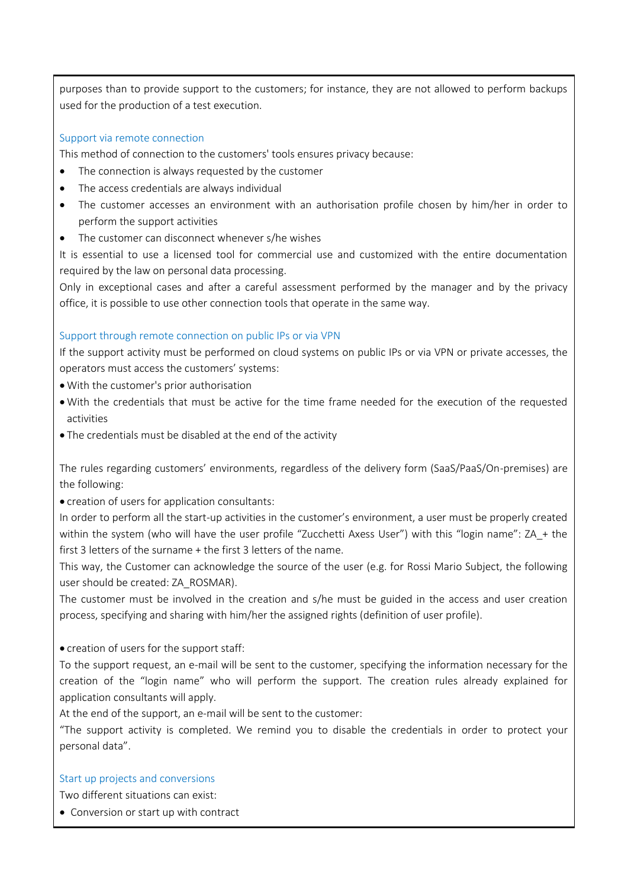purposes than to provide support to the customers; for instance, they are not allowed to perform backups used for the production of a test execution.

### Support via remote connection

This method of connection to the customers' tools ensures privacy because:

- The connection is always requested by the customer
- The access credentials are always individual
- The customer accesses an environment with an authorisation profile chosen by him/her in order to perform the support activities
- The customer can disconnect whenever s/he wishes

It is essential to use a licensed tool for commercial use and customized with the entire documentation required by the law on personal data processing.

Only in exceptional cases and after a careful assessment performed by the manager and by the privacy office, it is possible to use other connection tools that operate in the same way.

#### Support through remote connection on public IPs or via VPN

If the support activity must be performed on cloud systems on public IPs or via VPN or private accesses, the operators must access the customers' systems:

- With the customer's prior authorisation
- With the credentials that must be active for the time frame needed for the execution of the requested activities
- The credentials must be disabled at the end of the activity

The rules regarding customers' environments, regardless of the delivery form (SaaS/PaaS/On-premises) are the following:

• creation of users for application consultants:

In order to perform all the start-up activities in the customer's environment, a user must be properly created within the system (who will have the user profile "Zucchetti Axess User") with this "login name": ZA + the first 3 letters of the surname + the first 3 letters of the name.

This way, the Customer can acknowledge the source of the user (e.g. for Rossi Mario Subject, the following user should be created: ZA\_ROSMAR).

The customer must be involved in the creation and s/he must be guided in the access and user creation process, specifying and sharing with him/her the assigned rights (definition of user profile).

• creation of users for the support staff:

To the support request, an e-mail will be sent to the customer, specifying the information necessary for the creation of the "login name" who will perform the support. The creation rules already explained for application consultants will apply.

At the end of the support, an e-mail will be sent to the customer:

"The support activity is completed. We remind you to disable the credentials in order to protect your personal data".

#### Start up projects and conversions

Two different situations can exist:

• Conversion or start up with contract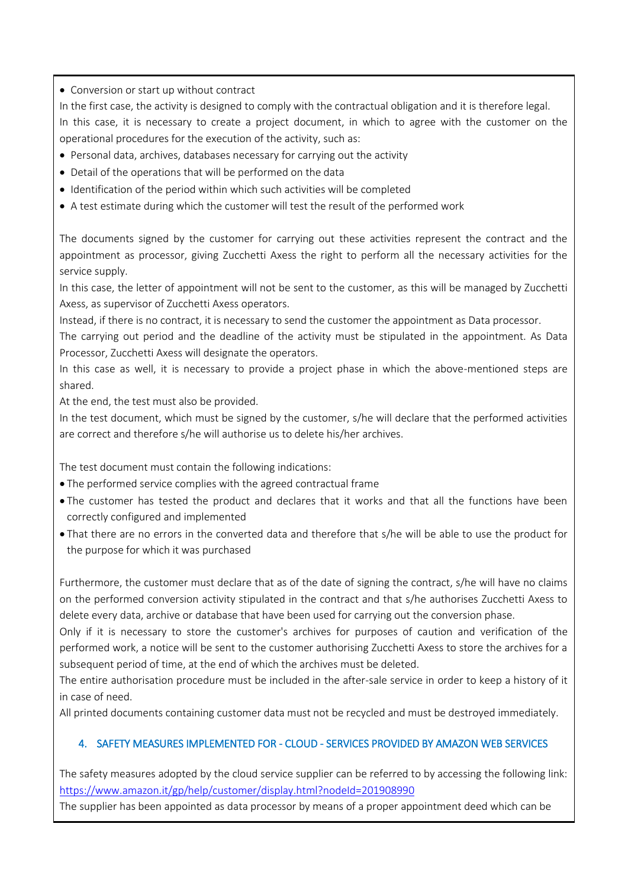• Conversion or start up without contract

In the first case, the activity is designed to comply with the contractual obligation and it is therefore legal.

In this case, it is necessary to create a project document, in which to agree with the customer on the operational procedures for the execution of the activity, such as:

- Personal data, archives, databases necessary for carrying out the activity
- Detail of the operations that will be performed on the data
- Identification of the period within which such activities will be completed
- A test estimate during which the customer will test the result of the performed work

The documents signed by the customer for carrying out these activities represent the contract and the appointment as processor, giving Zucchetti Axess the right to perform all the necessary activities for the service supply.

In this case, the letter of appointment will not be sent to the customer, as this will be managed by Zucchetti Axess, as supervisor of Zucchetti Axess operators.

Instead, if there is no contract, it is necessary to send the customer the appointment as Data processor.

The carrying out period and the deadline of the activity must be stipulated in the appointment. As Data Processor, Zucchetti Axess will designate the operators.

In this case as well, it is necessary to provide a project phase in which the above-mentioned steps are shared.

At the end, the test must also be provided.

In the test document, which must be signed by the customer, s/he will declare that the performed activities are correct and therefore s/he will authorise us to delete his/her archives.

The test document must contain the following indications:

- The performed service complies with the agreed contractual frame
- The customer has tested the product and declares that it works and that all the functions have been correctly configured and implemented
- That there are no errors in the converted data and therefore that s/he will be able to use the product for the purpose for which it was purchased

Furthermore, the customer must declare that as of the date of signing the contract, s/he will have no claims on the performed conversion activity stipulated in the contract and that s/he authorises Zucchetti Axess to delete every data, archive or database that have been used for carrying out the conversion phase.

Only if it is necessary to store the customer's archives for purposes of caution and verification of the performed work, a notice will be sent to the customer authorising Zucchetti Axess to store the archives for a subsequent period of time, at the end of which the archives must be deleted.

The entire authorisation procedure must be included in the after-sale service in order to keep a history of it in case of need.

All printed documents containing customer data must not be recycled and must be destroyed immediately.

## 4. SAFETY MEASURES IMPLEMENTED FOR - CLOUD - SERVICES PROVIDED BY AMAZON WEB SERVICES

The safety measures adopted by the cloud service supplier can be referred to by accessing the following link: <https://www.amazon.it/gp/help/customer/display.html?nodeId=201908990>

The supplier has been appointed as data processor by means of a proper appointment deed which can be